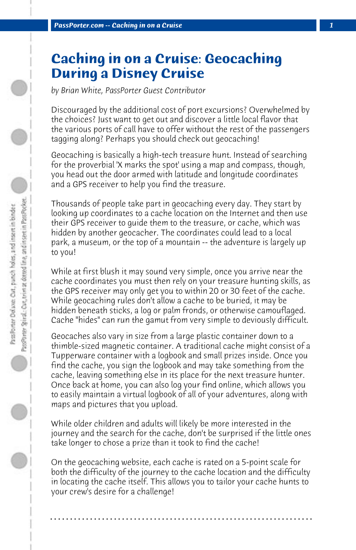## **Caching in on a Cruise: Geocaching During a Disney Cruise**

*by Brian White, PassPorter Guest Contributor*

Discouraged by the additional cost of port excursions? Overwhelmed by the choices? Just want to get out and discover a little local flavor that the various ports of call have to offer without the rest of the passengers tagging along? Perhaps you should check out geocaching!

Geocaching is basically a high-tech treasure hunt. Instead of searching for the proverbial 'X marks the spot' using a map and compass, though, you head out the door armed with latitude and longitude coordinates and a GPS receiver to help you find the treasure.

Thousands of people take part in geocaching every day. They start by looking up coordinates to a cache location on the Internet and then use their GPS receiver to guide them to the treasure, or cache, which was hidden by another geocacher. The coordinates could lead to a local park, a museum, or the top of a mountain -- the adventure is largely up to you!

While at first blush it may sound very simple, once you arrive near the cache coordinates you must then rely on your treasure hunting skills, as the GPS receiver may only get you to within 20 or 30 feet of the cache. While geocaching rules don't allow a cache to be buried, it may be hidden beneath sticks, a log or palm fronds, or otherwise camouflaged. Cache "hides" can run the gamut from very simple to deviously difficult.

Geocaches also vary in size from a large plastic container down to a thimble-sized magnetic container. A traditional cache might consist of a Tupperware container with a logbook and small prizes inside. Once you find the cache, you sign the logbook and may take something from the cache, leaving something else in its place for the next treasure hunter. Once back at home, you can also log your find online, which allows you to easily maintain a virtual logbook of all of your adventures, along with maps and pictures that you upload.

While older children and adults will likely be more interested in the journey and the search for the cache, don't be surprised if the little ones take longer to chose a prize than it took to find the cache!

On the geocaching website, each cache is rated on a 5-point scale for both the difficulty of the journey to the cache location and the difficulty in locating the cache itself. This allows you to tailor your cache hunts to your crew's desire for a challenge!

**. . . . . . . . . . . . . . . . . . . . . . . . . . . . . . . . . . . . . . . . . . . . . . . . . . . . . . . . . . . . . . . . . .**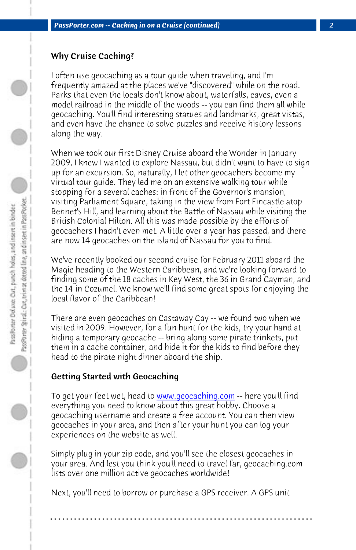*PassPorter.com -- Caching in on a Cruise (continued) 2*

## Why Cruise Caching?

I often use geocaching as a tour guide when traveling, and I'm frequently amazed at the places we've "discovered" while on the road. Parks that even the locals don't know about, waterfalls, caves, even a model railroad in the middle of the woods -- you can find them all while geocaching. You'll find interesting statues and landmarks, great vistas, and even have the chance to solve puzzles and receive history lessons along the way.

When we took our first Disney Cruise aboard the Wonder in January 2009, I knew I wanted to explore Nassau, but didn't want to have to sign up for an excursion. So, naturally, I let other geocachers become my virtual tour guide. They led me on an extensive walking tour while stopping for a several caches: in front of the Governor's mansion, visiting Parliament Square, taking in the view from Fort Fincastle atop Bennet's Hill, and learning about the Battle of Nassau while visiting the British Colonial Hilton. All this was made possible by the efforts of geocachers I hadn't even met[. A little over a year ha](http://www.geocaching.com)s passed, and there are now 14 geocaches on the island of Nassau for you to find.

We've recently booked our second cruise for February 2011 aboard the Magic heading to the Western Caribbean, and we're looking forward to finding some of the 18 caches in Key West, the 36 in Grand Cayman, and the 14 in Cozumel. We know we'll find some great spots for enjoying the local flavor of the Caribbean!

There are even geocaches on Castaway Cay -- we found two when we visited in 2009. However, for a fun hunt for the kids, try your hand at hiding a temporary geocache -- bring along some pirate trinkets, put them in a cache container, and hide it for the kids to find before they head to the pirate night dinner aboard the ship.

## Getting Started with Geocaching

To get your feet wet, head to www.geocaching.com -- here you'll find everything you need to know about this great hobby. Choose a geocaching username and create a free account. You can then view geocaches in your area, and then after your hunt you can log your experiences on the website as well.

Simply plug in your zip code, and you'll see the closest geocaches in your area. And lest you think you'll need to travel far, geocaching.com lists over one million active geocaches worldwide!

**. . . . . . . . . . . . . . . . . . . . . . . . . . . . . . . . . . . . . . . . . . . . . . . . . . . . . . . . . . . . . . . . . .**

Next, you'll need to borrow or purchase a GPS receiver. A GPS unit